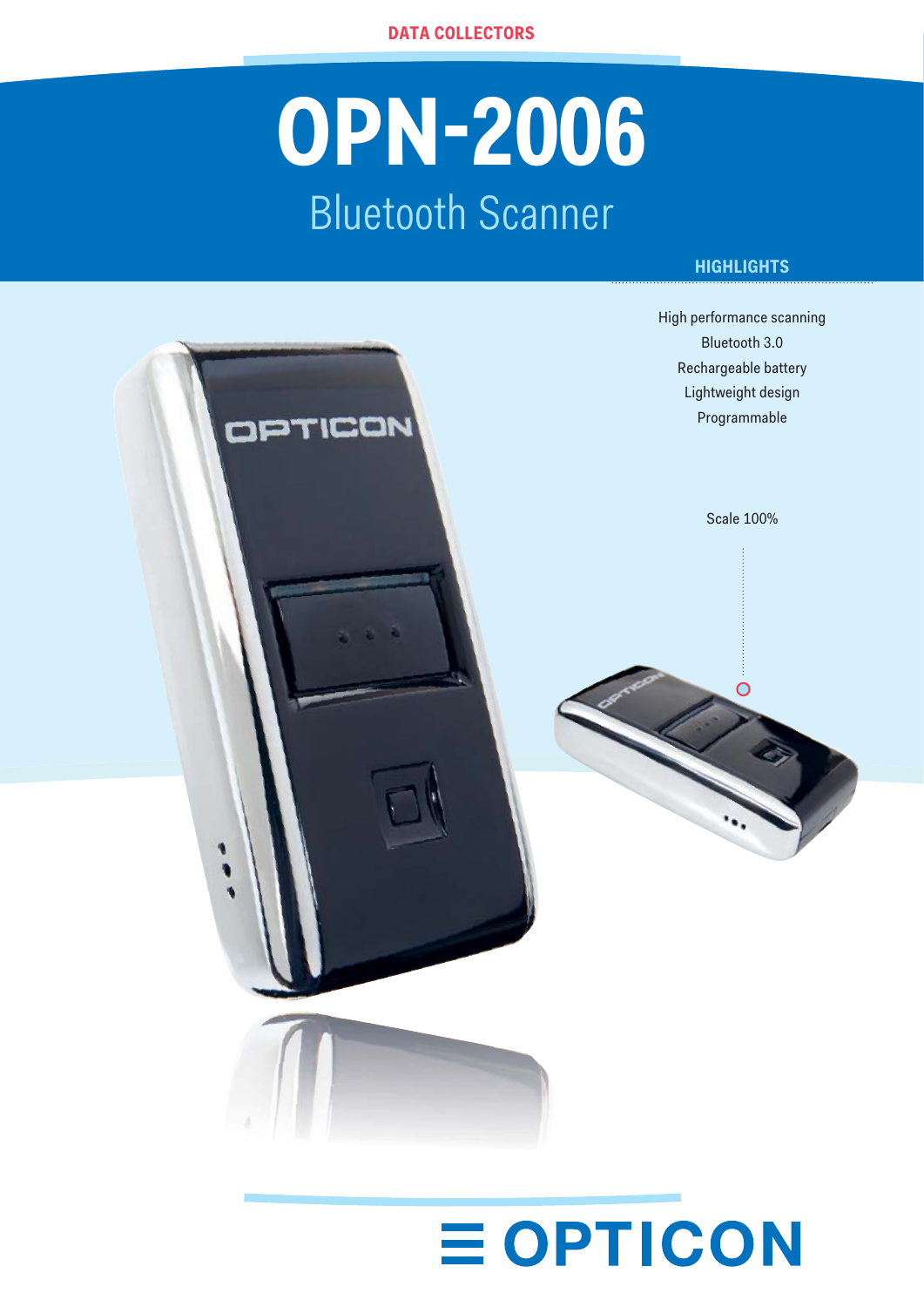# **OPN-2006** Bluetooth Scanner

## **HIGHLIGHTS**